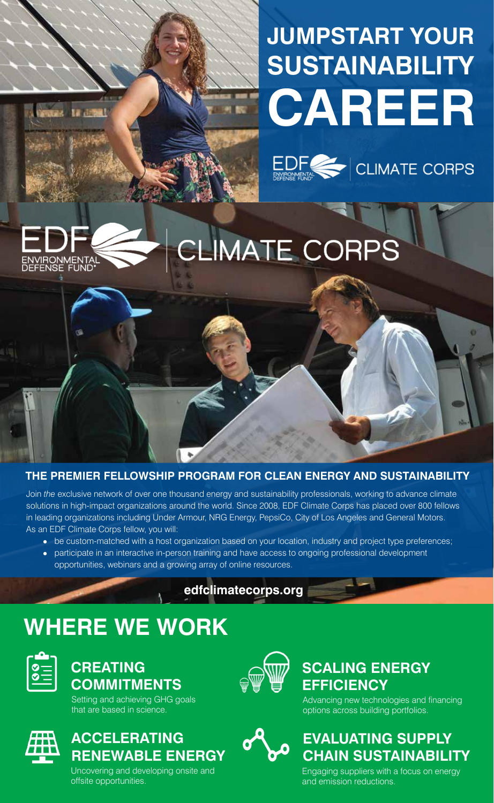# **JUMPSTART YOUR SUSTAINABILITY CAREER**

OF CLIMATE CORPS



**BA 18 DOME!** 

# **CLIMATE CORPS**

#### **THE PREMIER FELLOWSHIP PROGRAM FOR CLEAN ENERGY AND SUSTAINABILITY**

Join *the* exclusive network of over one thousand energy and sustainability professionals, working to advance climate solutions in high-impact organizations around the world. Since 2008, EDF Climate Corps has placed over 800 fellows in leading organizations including Under Armour, NRG Energy, PepsiCo, City of Los Angeles and General Motors. As an EDF Climate Corps fellow, you will:

- be custom-matched with a host organization based on your location, industry and project type preferences;
- participate in an interactive in-person training and have access to ongoing professional development opportunities, webinars and a growing array of online resources.

#### **edfclimatecorps.org**

# **WHERE WE WORK**



## **CREATING COMMITMENTS**

Setting and achieving GHG goals that are based in science.



## **ACCELERATING RENEWABLE ENERGY**



## **SCALING ENERGY EFFICIENCY**

Advancing new technologies and financing options across building portfolios.



Uncovering and developing onsite and offsite opportunities.

Engaging suppliers with a focus on energy and emission reductions.